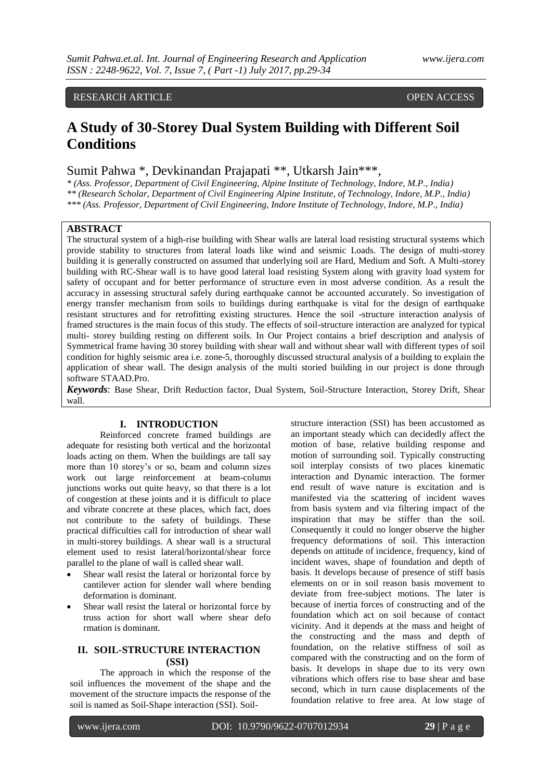# RESEARCH ARTICLE **CONSERVERS** OPEN ACCESS

# **A Study of 30-Storey Dual System Building with Different Soil Conditions**

# Sumit Pahwa \*, Devkinandan Prajapati \*\*, Utkarsh Jain\*\*\*,

*\* (Ass. Professor, Department of Civil Engineering, Alpine Institute of Technology, Indore, M.P., India) \*\* (Research Scholar, Department of Civil Engineering Alpine Institute, of Technology, Indore, M.P., India) \*\*\* (Ass. Professor, Department of Civil Engineering, Indore Institute of Technology, Indore, M.P., India)*

# **ABSTRACT**

The structural system of a high-rise building with Shear walls are lateral load resisting structural systems which provide stability to structures from lateral loads like wind and seismic Loads. The design of multi-storey building it is generally constructed on assumed that underlying soil are Hard, Medium and Soft. A Multi-storey building with RC-Shear wall is to have good lateral load resisting System along with gravity load system for safety of occupant and for better performance of structure even in most adverse condition. As a result the accuracy in assessing structural safely during earthquake cannot be accounted accurately. So investigation of energy transfer mechanism from soils to buildings during earthquake is vital for the design of earthquake resistant structures and for retrofitting existing structures. Hence the soil -structure interaction analysis of framed structures is the main focus of this study. The effects of soil-structure interaction are analyzed for typical multi- storey building resting on different soils. In Our Project contains a brief description and analysis of Symmetrical frame having 30 storey building with shear wall and without shear wall with different types of soil condition for highly seismic area i.e. zone-5, thoroughly discussed structural analysis of a building to explain the application of shear wall. The design analysis of the multi storied building in our project is done through software STAAD.Pro.

*Keywords*: Base Shear, Drift Reduction factor, Dual System, Soil-Structure Interaction, Storey Drift, Shear wall.

## **I. INTRODUCTION**

Reinforced concrete framed buildings are adequate for resisting both vertical and the horizontal loads acting on them. When the buildings are tall say more than 10 storey's or so, beam and column sizes work out large reinforcement at beam-column junctions works out quite heavy, so that there is a lot of congestion at these joints and it is difficult to place and vibrate concrete at these places, which fact, does not contribute to the safety of buildings. These practical difficulties call for introduction of shear wall in multi-storey buildings. A shear wall is a structural element used to resist lateral/horizontal/shear force parallel to the plane of wall is called shear wall.

- Shear wall resist the lateral or horizontal force by cantilever action for slender wall where bending deformation is dominant.
- Shear wall resist the lateral or horizontal force by truss action for short wall where shear defo rmation is dominant.

# **II. SOIL-STRUCTURE INTERACTION (SSI)**

The approach in which the response of the soil influences the movement of the shape and the movement of the structure impacts the response of the soil is named as Soil-Shape interaction (SSI). Soilstructure interaction (SSI) has been accustomed as an important steady which can decidedly affect the motion of base, relative building response and motion of surrounding soil. Typically constructing soil interplay consists of two places kinematic interaction and Dynamic interaction. The former end result of wave nature is excitation and is manifested via the scattering of incident waves from basis system and via filtering impact of the inspiration that may be stiffer than the soil. Consequently it could no longer observe the higher frequency deformations of soil. This interaction depends on attitude of incidence, frequency, kind of incident waves, shape of foundation and depth of basis. It develops because of presence of stiff basis elements on or in soil reason basis movement to deviate from free-subject motions. The later is because of inertia forces of constructing and of the foundation which act on soil because of contact vicinity. And it depends at the mass and height of the constructing and the mass and depth of foundation, on the relative stiffness of soil as compared with the constructing and on the form of basis. It develops in shape due to its very own vibrations which offers rise to base shear and base second, which in turn cause displacements of the foundation relative to free area. At low stage of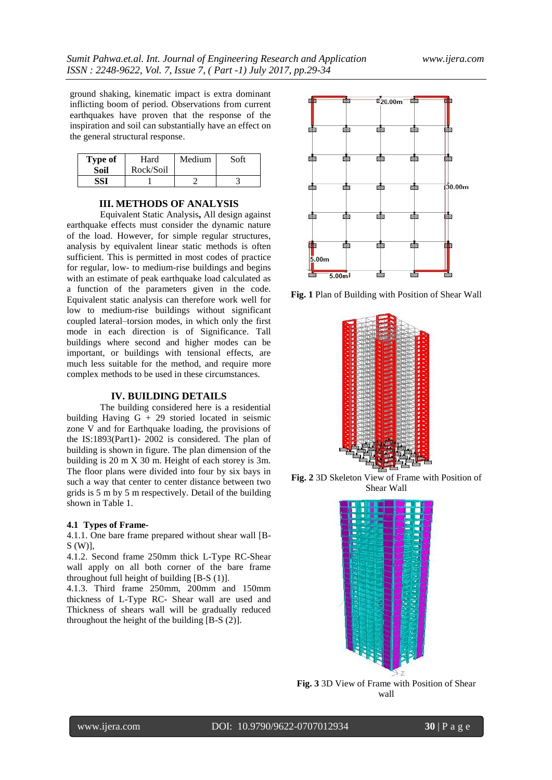ground shaking, kinematic impact is extra dominant inflicting boom of period. Observations from current earthquakes have proven that the response of the inspiration and soil can substantially have an effect on the general structural response.

| Type of | Hard      | Medium | Soft |
|---------|-----------|--------|------|
| Soil    | Rock/Soil |        |      |
| 381     |           |        |      |

### **III. METHODS OF ANALYSIS**

Equivalent Static Analysis**,** All design against earthquake effects must consider the dynamic nature of the load. However, for simple regular structures, analysis by equivalent linear static methods is often sufficient. This is permitted in most codes of practice for regular, low- to medium-rise buildings and begins with an estimate of peak earthquake load calculated as a function of the parameters given in the code. Equivalent static analysis can therefore work well for low to medium-rise buildings without significant coupled lateral–torsion modes, in which only the first mode in each direction is of Significance. Tall buildings where second and higher modes can be important, or buildings with tensional effects, are much less suitable for the method, and require more complex methods to be used in these circumstances.

#### **IV. BUILDING DETAILS**

The building considered here is a residential building Having G + 29 storied located in seismic zone V and for Earthquake loading, the provisions of the IS:1893(Part1)- 2002 is considered. The plan of building is shown in figure. The plan dimension of the building is 20 m X 30 m. Height of each storey is 3m. The floor plans were divided into four by six bays in such a way that center to center distance between two grids is 5 m by 5 m respectively. Detail of the building shown in Table 1.

#### **4.1 Types of Frame-**

4.1.1. One bare frame prepared without shear wall [B-S (W)],

4.1.2. Second frame 250mm thick L-Type RC-Shear wall apply on all both corner of the bare frame throughout full height of building [B-S (1)].

4.1.3. Third frame 250mm, 200mm and 150mm thickness of L-Type RC- Shear wall are used and Thickness of shears wall will be gradually reduced throughout the height of the building [B-S (2)].



**Fig. 1** Plan of Building with Position of Shear Wall



**Fig. 2** 3D Skeleton View of Frame with Position of Shear Wall



**Fig. 3** 3D View of Frame with Position of Shear wall

www.ijera.com DOI: 10.9790/9622-0707012934 **30** | P a g e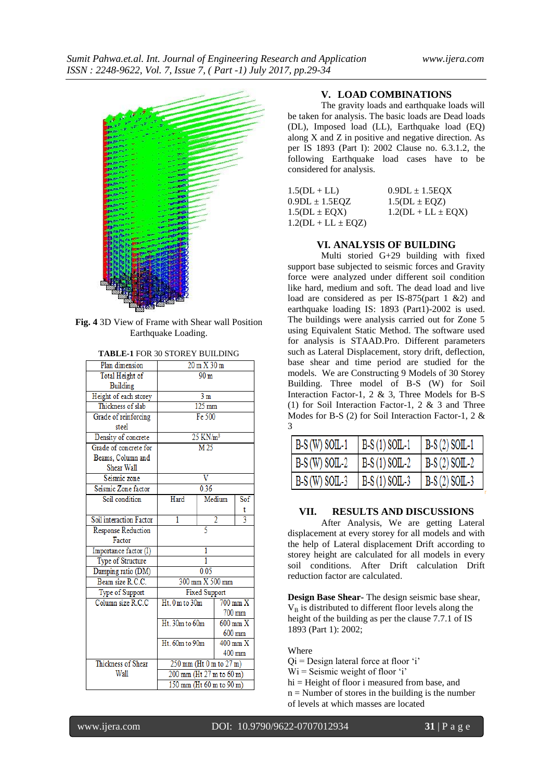

**Fig. 4** 3D View of Frame with Shear wall Position Earthquake Loading.

| Plan dimension            | $20 \text{ m}$ X 30 $\text{ m}$ |                    |               |                  |  |  |  |  |
|---------------------------|---------------------------------|--------------------|---------------|------------------|--|--|--|--|
| Total Height of           | 90 <sub>m</sub>                 |                    |               |                  |  |  |  |  |
| <b>Building</b>           |                                 |                    |               |                  |  |  |  |  |
| Height of each storey     | 3 <sub>m</sub>                  |                    |               |                  |  |  |  |  |
| Thickness of slab         |                                 | $125 \text{ mm}$   |               |                  |  |  |  |  |
| Grade of reinforcing      |                                 | Fe 500             |               |                  |  |  |  |  |
| steel                     |                                 |                    |               |                  |  |  |  |  |
| Density of concrete       |                                 | $25$ KN/ $m3$      |               |                  |  |  |  |  |
| Grade of concrete for     |                                 | $\overline{M}$ 25  |               |                  |  |  |  |  |
| Beams, Column and         |                                 |                    |               |                  |  |  |  |  |
| Shear Wall                |                                 |                    |               |                  |  |  |  |  |
| Seismic zone              |                                 | $\overline{\rm v}$ |               |                  |  |  |  |  |
| Seismic Zone factor       |                                 | 0.36               |               |                  |  |  |  |  |
| Soil condition            | Hard                            |                    | Medium<br>Sof |                  |  |  |  |  |
|                           |                                 |                    |               | t                |  |  |  |  |
| Soil interaction Factor   | 1                               |                    | 2             | 3                |  |  |  |  |
| <b>Response Reduction</b> |                                 | 5                  |               |                  |  |  |  |  |
| Factor                    |                                 |                    |               |                  |  |  |  |  |
| Importance factor (I)     | 1                               |                    |               |                  |  |  |  |  |
| Type of Structure         | ī                               |                    |               |                  |  |  |  |  |
| Damping ratio (DM)        | 0.05                            |                    |               |                  |  |  |  |  |
| Beam size R.C.C.          | 300 mm X 500 mm                 |                    |               |                  |  |  |  |  |
| Type of Support           | <b>Fixed Support</b>            |                    |               |                  |  |  |  |  |
| Column size R.C.C.        | $Ht$ . 0 m to 30m               | $700$ mm $X$       |               |                  |  |  |  |  |
|                           | 700 mm                          |                    |               |                  |  |  |  |  |
|                           | Ht. 30m to 60m                  | $600$ mm $X$       |               |                  |  |  |  |  |
|                           |                                 |                    |               | $600 \text{ mm}$ |  |  |  |  |
|                           | Ht. 60m to 90m                  | $400$ mm $X$       |               |                  |  |  |  |  |
|                           | $400 \text{ mm}$                |                    |               |                  |  |  |  |  |
| Thickness of Shear        | 250 mm (Ht 0 m to 27 m)         |                    |               |                  |  |  |  |  |
| Wall                      | 200 mm (Ht 27 m to 60 m)        |                    |               |                  |  |  |  |  |
|                           | 150 mm (Ht 60 m to 90 m)        |                    |               |                  |  |  |  |  |

#### **TABLE-1** FOR 30 STOREY BUILDING

#### **V. LOAD COMBINATIONS**

The gravity loads and earthquake loads will be taken for analysis. The basic loads are Dead loads (DL), Imposed load (LL), Earthquake load (EQ) along X and Z in positive and negative direction. As per IS 1893 (Part I): 2002 Clause no. 6.3.1.2, the following Earthquake load cases have to be considered for analysis.

| $1.5(DL+LL)$           | $0.9DL \pm 1.5EOX$     |
|------------------------|------------------------|
| $0.9DL \pm 1.5EOZ$     | $1.5(DL \pm EOZ)$      |
| $1.5(DL \pm EQX)$      | $1.2(DL + LL \pm EOX)$ |
| $1.2(DL + LL \pm EQZ)$ |                        |

# **VI. ANALYSIS OF BUILDING**

Multi storied G+29 building with fixed support base subjected to seismic forces and Gravity force were analyzed under different soil condition like hard, medium and soft. The dead load and live load are considered as per IS-875(part 1 &2) and earthquake loading IS: 1893 (Part1)-2002 is used. The buildings were analysis carried out for Zone 5 using Equivalent Static Method. The software used for analysis is STAAD.Pro. Different parameters such as Lateral Displacement, story drift, deflection, base shear and time period are studied for the models. We are Constructing 9 Models of 30 Storey Building. Three model of B-S (W) for Soil Interaction Factor-1, 2 & 3, Three Models for B-S (1) for Soil Interaction Factor-1, 2 & 3 and Three Modes for B-S (2) for Soil Interaction Factor-1, 2 & 3

| $B-S(W)$ SOIL-1 | $B-S(1)$ SOIL-1 | $B-S(2)$ SOIL-1          |
|-----------------|-----------------|--------------------------|
| $B-S(W)$ SOIL-2 | $B-S(1)$ SOIL-2 | $\mathsf{B-S}(2)$ SOIL-2 |
| $B-S(W)$ SOIL-3 | $B-S(1)$ SOIL-3 | $B-S(2)$ SOIL-3          |

#### **VII. RESULTS AND DISCUSSIONS**

After Analysis, We are getting Lateral displacement at every storey for all models and with the help of Lateral displacement Drift according to storey height are calculated for all models in every soil conditions. After Drift calculation Drift reduction factor are calculated.

**Design Base Shear-** The design seismic base shear,  $V_B$  is distributed to different floor levels along the height of the building as per the clause 7.7.1 of IS 1893 (Part 1): 2002;

Where

 $Qi = Design lateral force at floor 'i'$ 

 $Wi = Seismic weight of floor 'i'$ 

hi = Height of floor i measured from base, and  $n =$  Number of stores in the building is the number of levels at which masses are located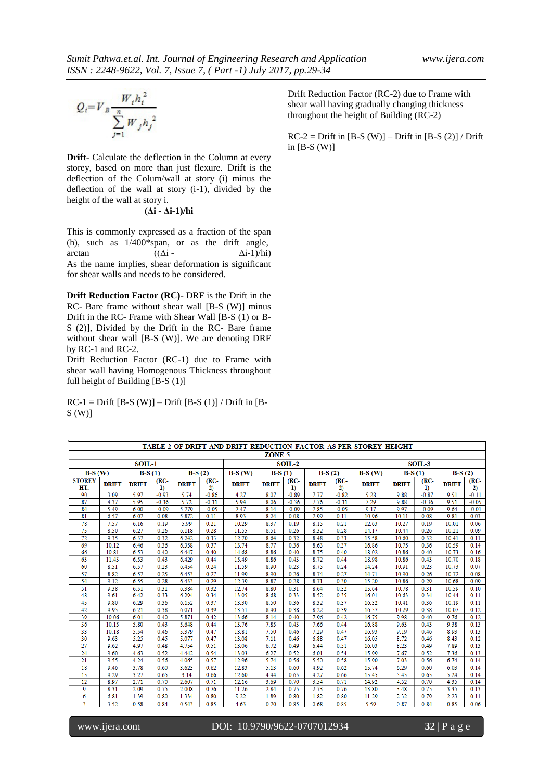$$
Q_i = V_B \frac{W_i h_i^2}{\sum_{j=1}^n W_j h_j^2}
$$

**Drift-** Calculate the deflection in the Column at every storey, based on more than just flexure. Drift is the deflection of the Colum/wall at story (i) minus the deflection of the wall at story (i-1), divided by the height of the wall at story i.

## **(Δi - Δi-1)/hi**

This is commonly expressed as a fraction of the span (h), such as  $1/400*$ span, or as the drift angle, arctan  $((\Delta i - \Delta i-1)/hi)$ arctan  $((\Delta i - \Delta i - 1)/h_i)$ As the name implies, shear deformation is significant for shear walls and needs to be considered.

**Drift Reduction Factor (RC)-** DRF is the Drift in the RC- Bare frame without shear wall [B-S (W)] minus Drift in the RC- Frame with Shear Wall [B-S (1) or B-S (2)], Divided by the Drift in the RC- Bare frame without shear wall [B-S (W)]. We are denoting DRF by RC-1 and RC-2.

Drift Reduction Factor (RC-1) due to Frame with shear wall having Homogenous Thickness throughout full height of Building [B-S (1)]

 $RC-1 = Drift [B-S (W)] – Drift [B-S (1)] / Drift in [B S(W)$ ]

Drift Reduction Factor (RC-2) due to Frame with shear wall having gradually changing thickness throughout the height of Building (RC-2)

 $RC-2 = Drift$  in  $[B-S (W)] - Drift$  in  $[B-S (2)] / Drift$ in [B-S (W)]

| TABLE-2 OF DRIFT AND DRIFT REDUCTION FACTOR AS PER STOREY HEIGHT |                                  |              |                      |                      |               |              |              |                     |              |               |              |              |                     |              |               |
|------------------------------------------------------------------|----------------------------------|--------------|----------------------|----------------------|---------------|--------------|--------------|---------------------|--------------|---------------|--------------|--------------|---------------------|--------------|---------------|
| ZONE-5                                                           |                                  |              |                      |                      |               |              |              |                     |              |               |              |              |                     |              |               |
| SOIL-1<br>SOIL-2                                                 |                                  |              |                      |                      |               |              |              | SOIL-3              |              |               |              |              |                     |              |               |
|                                                                  | $B-S(W)$<br>$B-S(1)$<br>$B-S(2)$ |              |                      | $B-S(W)$<br>$B-S(1)$ |               |              | $B-S(2)$     |                     | $B-S(W)$     | $B-S(1)$      |              | $B-S(2)$     |                     |              |               |
| <b>STOREY</b><br>HT.                                             | <b>DRIFT</b>                     | <b>DRIFT</b> | (RC-<br><sup>1</sup> | <b>DRIFT</b>         | $(RC -$<br>2) | <b>DRIFT</b> | <b>DRIFT</b> | $(RC -$<br>$\bf{D}$ | <b>DRIFT</b> | $(RC -$<br>2) | <b>DRIFT</b> | <b>DRIFT</b> | $(RC -$<br>$\bf{I}$ | <b>DRIFT</b> | $(RC -$<br>2) |
| 90                                                               | 3.09                             | 5.97         | $-0.93$              | 5.74                 | $-0.86$       | 4.27         | 8.07         | $-0.89$             | 7.77         | $-0.82$       | 5.28         | 9.88         | $-0.87$             | 9.51         | $-0.11$       |
| 87                                                               | 4.37                             | 5.95         | $-0.36$              | 5.72                 | $-0.31$       | 5.94         | 8.06         | $-0.36$             | 7.76         | $-0.31$       | 7.29         | 9.88         | $-0.36$             | 9.51         | $-0.05$       |
| 84                                                               | 5.49                             | 6.00         | $-0.09$              | 5.779                | $-0.05$       | 7.47         | 8.14         | $-0.09$             | 7.85         | $-0.05$       | 9.17         | 9.97         | $-0.09$             | 9.64         | $-0.01$       |
| 81                                                               | 6.57                             | 6.07         | 0.08                 | 5.872                | 0.11          | 8.93         | 8.24         | 0.08                | 7.99         | 0.11          | 10.96        | 10.11        | 0.08                | 9.81         | 0.03          |
| 78                                                               | 7.57                             | 6.16         | 0.19                 | 5.99                 | 0.21          | 10.29        | 8.37         | 0.19                | 8.15         | 0.21          | 12.63        | 10.27        | 0.19                | 10.01        | 0.06          |
| $\overline{75}$                                                  | 8.50                             | 6.27         | 0.26                 | 6.118                | 0.28          | 11.55        | 8.51         | 0.26                | 8.32         | 0.28          | 14.17        | 10.44        | 0.26                | 10.21        | 0.09          |
| $\overline{72}$                                                  | 9.35                             | 6.37         | 0.32                 | 6.242                | 0.33          | 12.70        | 8.64         | 0.32                | 8.48         | 0.33          | 15.58        | 10.60        | 0.32                | 10.41        | 0.11          |
| 69                                                               | 10.12                            | 6.46         | 0.36                 | 6.358                | 0.37          | 13.74        | 8.77         | 0.36                | 8.63         | 0.37          | 16.86        | 10.75        | 0.36                | 10.59        | 0.14          |
| 66                                                               | 10.81                            | 6.53         | 0.40                 | 6.447                | 0.40          | 14.68        | 8.86         | 0.40                | 8.75         | 0.40          | 18.02        | 10.86        | 0.40                | 10.73        | 0.16          |
| 63                                                               | 11.43                            | 6.53         | 0.43                 | 6.429                | 0.44          | 15.49        | 8.86         | 0.43                | 8.72         | 0.44          | 18.98        | 10.86        | 0.43                | 10.70        | 0.18          |
| 60                                                               | 8.51                             | 6.57         | 0.23                 | 6.454                | 0.24          | 11.59        | 8.90         | 0.23                | 8.75         | 0.24          | 14.24        | 10.91        | 0.23                | 10.73        | 0.07          |
| 57                                                               | 8.82                             | 6.57         | 0.25                 | 6.453                | 0.27          | 11.99        | 8.90         | 0.26                | 8.74         | 0.27          | 14.71        | 10.90        | 0.26                | 10.72        | 0.08          |
| 54                                                               | 9.12                             | 6.55         | 0.28                 | 6.433                | 0.29          | 12.39        | 8.87         | 0.28                | 8.71         | 0.30          | 15.20        | 10.86        | 0.29                | 10.68        | 0.09          |
| 51                                                               | 9.38                             | 6.51         | 0.31                 | 6.384                | 0.32          | 12.74        | 8.80         | 0.31                | 8.64         | 0.32          | 15.64        | 10.78        | 0.31                | 10.59        | 0.10          |
| 48                                                               | 9.61                             | 6.42         | 0.33                 | 6.294                | 0.34          | 13.05        | 8.68         | 0.33                | 8.52         | 0.35          | 16.01        | 10.63        | 0.34                | 10.44        | 0.11          |
| 45                                                               | 9.80                             | 6.29         | 0.36                 | 6.152                | 0.37          | 13.30        | 8.50         | 0.36                | 8.32         | 0.37          | 16.32        | 10.41        | 0.36                | 10.19        | 0.11          |
| 42                                                               | 9.95                             | 6.21         | 0.38                 | 6.071                | 0.39          | 13.51        | 8.40         | 0.38                | 8.22         | 0.39          | 16.57        | 10.29        | 0.38                | 10.07        | 0.12          |
| 39                                                               | 10.06                            | 6.01         | 0.40                 | 5.871                | 0.42          | 13.66        | 8.14         | 0.40                | 7.96         | 0.42          | 16.75        | 9.98         | 0.40                | 9.76         | 0.12          |
| 36                                                               | 10.15                            | 5.80         | 0.43                 | 5.648                | 0.44          | 13.76        | 7.85         | 0.43                | 7.66         | 0.44          | 16.88        | 9.63         | 0.43                | 9.38         | 0.13          |
| 33                                                               | 10.18                            | 5.54         | 0.46                 | 5.379                | 0.47          | 13.81        | 7.50         | 0.46                | 7.29         | 0.47          | 16.93        | 9.19         | 0.46                | 8.93         | 0.13          |
| 30                                                               | 9.63                             | 5.25         | 0.45                 | 5.077                | 0.47          | 13.08        | 7.11         | 0.46                | 6.88         | 0.47          | 16.05        | 8.72         | 0.46                | 8.43         | 0.12          |
| 27                                                               | 9.62                             | 4.97         | 0.48                 | 4.754                | 0.51          | 13.06        | 6.72         | 0.49                | 6.44         | 0.51          | 16.03        | 8.23         | 0.49                | 7.89         | 0.13          |
| 24                                                               | 9.60                             | 4.63         | 0.52                 | 4.442                | 0.54          | 13.03        | 6.27         | 0.52                | 6.01         | 0.54          | 15.99        | 7.67         | 0.52                | 7.36         | 0.13          |
| $\overline{21}$                                                  | 9.55                             | 4.24         | 0.56                 | 4.065                | 0.57          | 12.96        | 5.74         | 0.56                | 5.50         | 0.58          | 15.90        | 7.03         | 0.56                | 6.74         | 0.14          |
| 18                                                               | 9.46                             | 3.78         | 0.60                 | 3.623                | 0.62          | 12.83        | 5.13         | 0.60                | 4.92         | 0.62          | 15.74        | 6.29         | 0.60                | 6.03         | 0.14          |
| $\overline{15}$                                                  | 9.29                             | 3.27         | 0.65                 | 3.14                 | 0.66          | 12.60        | 4.44         | 0.65                | 4.27         | 0.66          | 15.45        | 5.45         | 0.65                | 5.24         | 0.14          |
| $\overline{12}$                                                  | 8.97                             | 2.71         | 0.70                 | 2.607                | 0.71          | 12.16        | 3.69         | 0.70                | 3.54         | 0.71          | 14.92        | 4.52         | 0.70                | 4.35         | 0.14          |
| 9                                                                | 8.31                             | 2.09         | 0.75                 | 2.008                | 0.76          | 11.26        | 2.84         | 0.75                | 2.73         | 0.76          | 13.80        | 3.48         | 0.75                | 3.35         | 0.13          |
| 6                                                                | 6.81                             | 1.39         | 0.80                 | 1.334                | 0.80          | 9.22         | 1.89         | 0.80                | 1.82         | 0.80          | 11.29        | 2.32         | 0.79                | 2.23         | 0.11          |
| $\overline{\mathbf{3}}$                                          | 3.52                             | 0.58         | 0.84                 | 0.543                | 0.85          | 4.63         | 0.70         | 0.85                | 0.68         | 0.85          | 5.59         | 0.87         | 0.84                | 0.85         | 0.06          |
|                                                                  |                                  |              |                      |                      |               |              |              |                     |              |               |              |              |                     |              |               |

www.ijera.com DOI: 10.9790/9622-0707012934 **32** | P a g e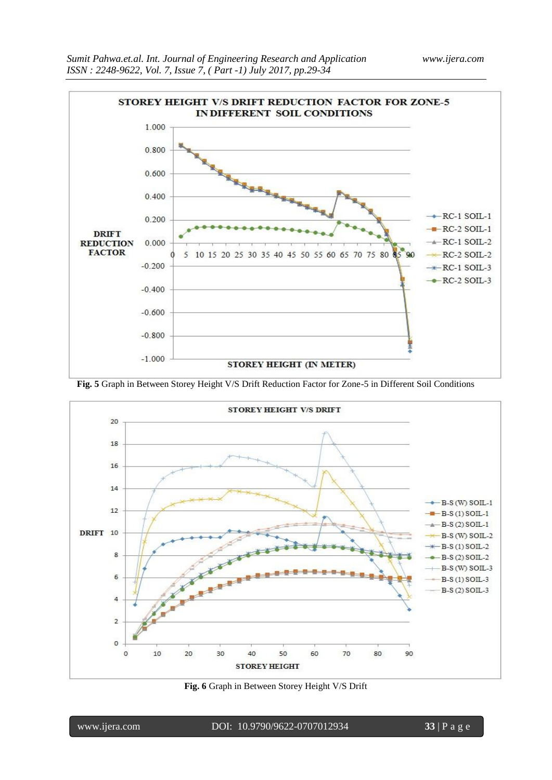

**Fig. 5** Graph in Between Storey Height V/S Drift Reduction Factor for Zone-5 in Different Soil Conditions



**Fig. 6** Graph in Between Storey Height V/S Drift